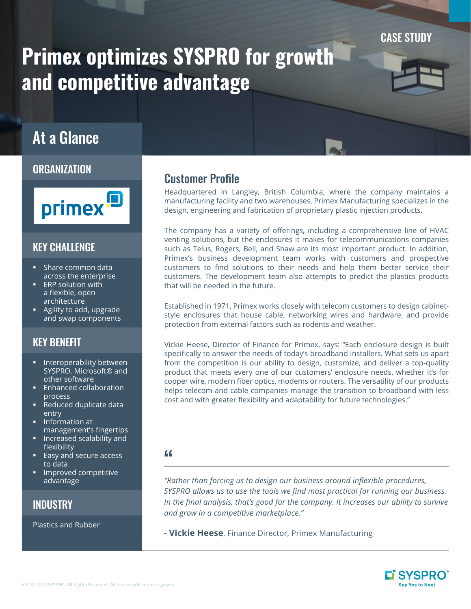CASE STUDY

# Primex optimizes SYSPRO for growth and competitive advantage

## At a Glance

### **ORGANIZATION**



## KEY CHALLENGE

- § Share common data across the enterprise
- **ERP** solution with a flexible, open architecture
- § Agility to add, upgrade and swap components

## KEY BENEFIT

- **EXEC** Interoperability between SYSPRO, Microsoft® and other software
- **Enhanced collaboration** process
- Reduced duplicate data entry
- Information at management's fingertips
- § Increased scalability and flexibility
- Easy and secure access to data
- § Improved competitive advantage

**INDUSTRY** 

Plastics and Rubber

## Customer Profile

Headquartered in Langley, British Columbia, where the company maintains a manufacturing facility and two warehouses, Primex Manufacturing specializes in the design, engineering and fabrication of proprietary plastic injection products.

The company has a variety of offerings, including a comprehensive line of HVAC venting solutions, but the enclosures it makes for telecommunications companies such as Telus, Rogers, Bell, and Shaw are its most important product. In addition, Primex's business development team works with customers and prospective customers to find solutions to their needs and help them better service their customers. The development team also attempts to predict the plastics products that will be needed in the future.

Established in 1971, Primex works closely with telecom customers to design cabinetstyle enclosures that house cable, networking wires and hardware, and provide protection from external factors such as rodents and weather.

Vickie Heese, Director of Finance for Primex, says: "Each enclosure design is built specifically to answer the needs of today's broadband installers. What sets us apart from the competition is our ability to design, customize, and deliver a top-quality product that meets every one of our customers' enclosure needs, whether it's for copper wire, modern fiber optics, modems or routers. The versatility of our products helps telecom and cable companies manage the transition to broadband with less cost and with greater flexibility and adaptability for future technologies."

#### "

*"Rather than forcing us to design our business around inflexible procedures, SYSPRO allows us to use the tools we find most practical for running our business. In the final analysis, that's good for the company. It increases our ability to survive and grow in a competitive marketplace."*

**- Vickie Heese**, Finance Director, Primex Manufacturing

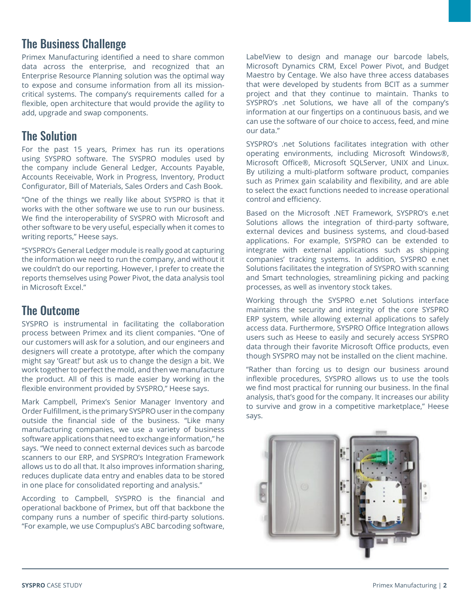## The Business Challenge

Primex Manufacturing identified a need to share common data across the enterprise, and recognized that an Enterprise Resource Planning solution was the optimal way to expose and consume information from all its missioncritical systems. The company's requirements called for a flexible, open architecture that would provide the agility to add, upgrade and swap components.

## The Solution

For the past 15 years, Primex has run its operations using SYSPRO software. The SYSPRO modules used by the company include General Ledger, Accounts Payable, Accounts Receivable, Work in Progress, Inventory, Product Configurator, Bill of Materials, Sales Orders and Cash Book.

"One of the things we really like about SYSPRO is that it works with the other software we use to run our business. We find the interoperability of SYSPRO with Microsoft and other software to be very useful, especially when it comes to writing reports," Heese says.

"SYSPRO's General Ledger module is really good at capturing the information we need to run the company, and without it we couldn't do our reporting. However, I prefer to create the reports themselves using Power Pivot, the data analysis tool in Microsoft Excel."

## The Outcome

SYSPRO is instrumental in facilitating the collaboration process between Primex and its client companies. "One of our customers will ask for a solution, and our engineers and designers will create a prototype, after which the company might say 'Great!' but ask us to change the design a bit. We work together to perfect the mold, and then we manufacture the product. All of this is made easier by working in the flexible environment provided by SYSPRO," Heese says.

Mark Campbell, Primex's Senior Manager Inventory and Order Fulfillment, is the primary SYSPRO user in the company outside the financial side of the business. "Like many manufacturing companies, we use a variety of business software applications that need to exchange information," he says. "We need to connect external devices such as barcode scanners to our ERP, and SYSPRO's Integration Framework allows us to do all that. It also improves information sharing, reduces duplicate data entry and enables data to be stored in one place for consolidated reporting and analysis."

According to Campbell, SYSPRO is the financial and operational backbone of Primex, but off that backbone the company runs a number of specific third-party solutions. "For example, we use Compuplus's ABC barcoding software,

LabelView to design and manage our barcode labels, Microsoft Dynamics CRM, Excel Power Pivot, and Budget Maestro by Centage. We also have three access databases that were developed by students from BCIT as a summer project and that they continue to maintain. Thanks to SYSPRO's .net Solutions, we have all of the company's information at our fingertips on a continuous basis, and we can use the software of our choice to access, feed, and mine our data."

SYSPRO's .net Solutions facilitates integration with other operating environments, including Microsoft Windows®, Microsoft Office®, Microsoft SQLServer, UNIX and Linux. By utilizing a multi-platform software product, companies such as Primex gain scalability and flexibility, and are able to select the exact functions needed to increase operational control and efficiency.

Based on the Microsoft .NET Framework, SYSPRO's e.net Solutions allows the integration of third-party software, external devices and business systems, and cloud-based applications. For example, SYSPRO can be extended to integrate with external applications such as shipping companies' tracking systems. In addition, SYSPRO e.net Solutions facilitates the integration of SYSPRO with scanning and Smart technologies, streamlining picking and packing processes, as well as inventory stock takes.

Working through the SYSPRO e.net Solutions interface maintains the security and integrity of the core SYSPRO ERP system, while allowing external applications to safely access data. Furthermore, SYSPRO Office Integration allows users such as Heese to easily and securely access SYSPRO data through their favorite Microsoft Office products, even though SYSPRO may not be installed on the client machine.

"Rather than forcing us to design our business around inflexible procedures, SYSPRO allows us to use the tools we find most practical for running our business. In the final analysis, that's good for the company. It increases our ability to survive and grow in a competitive marketplace," Heese says.